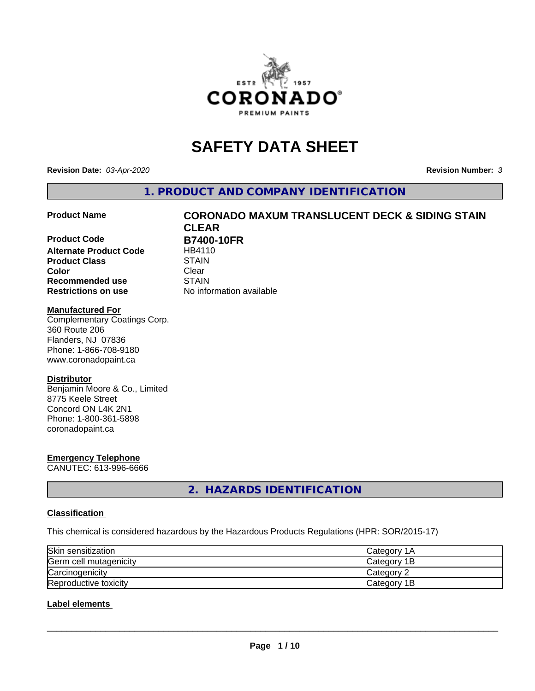

# **SAFETY DATA SHEET**

**Revision Date:** *03-Apr-2020* **Revision Number:** *3*

**1. PRODUCT AND COMPANY IDENTIFICATION**

**Product Code B7400-10FR**<br>Alternate Product Code **BR4110 Alternate Product Code Product Class** STAIN<br> **Color** Clear **Color** Clear Clear **Recommended use STAIN Restrictions on use** No information available

# **Product Name CORONADO MAXUM TRANSLUCENT DECK & SIDING STAIN CLEAR**

#### **Manufactured For**

Complementary Coatings Corp. 360 Route 206 Flanders, NJ 07836 Phone: 1-866-708-9180 www.coronadopaint.ca

#### **Distributor**

Benjamin Moore & Co., Limited 8775 Keele Street Concord ON L4K 2N1 Phone: 1-800-361-5898 coronadopaint.ca

# **Emergency Telephone**

CANUTEC: 613-996-6666

**2. HAZARDS IDENTIFICATION**

#### **Classification**

This chemical is considered hazardous by the Hazardous Products Regulations (HPR: SOR/2015-17)

| Skin sensitization     | lCategorv 1A |
|------------------------|--------------|
| Germ cell mutagenicity | Category 1B  |
| Carcinogenicity        | Category 2   |
| Reproductive toxicity  | Category 1B  |

#### **Label elements**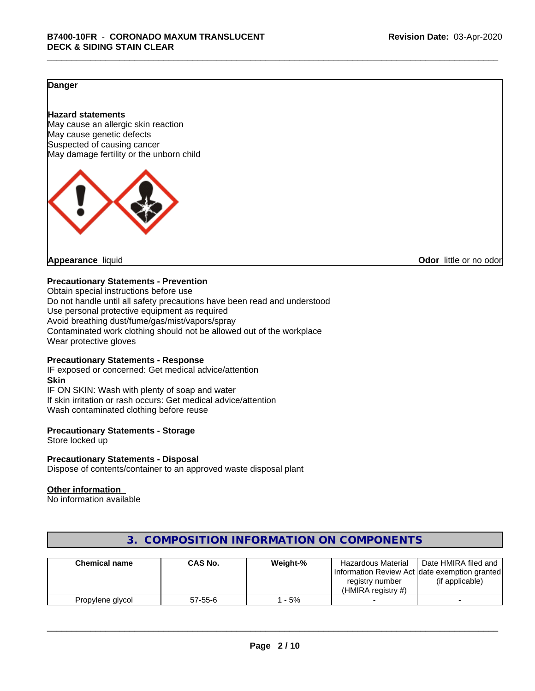#### **Danger**

#### **Hazard statements**

May cause an allergic skin reaction May cause genetic defects Suspected of causing cancer May damage fertility or the unborn child



**Appearance** liquid **CODO** *Appearance liquid* **Odor** *CODO CODO* **<b>***CODO CODO CODO CODO CODO* 

#### **Precautionary Statements - Prevention**

Obtain special instructions before use Do not handle until all safety precautions have been read and understood Use personal protective equipment as required Avoid breathing dust/fume/gas/mist/vapors/spray Contaminated work clothing should not be allowed out of the workplace Wear protective gloves

#### **Precautionary Statements - Response**

IF exposed or concerned: Get medical advice/attention **Skin** IF ON SKIN: Wash with plenty of soap and water If skin irritation or rash occurs: Get medical advice/attention Wash contaminated clothing before reuse

#### **Precautionary Statements - Storage**

Store locked up

#### **Precautionary Statements - Disposal**

Dispose of contents/container to an approved waste disposal plant

#### **Other information**

No information available

| <b>Chemical name</b> | <b>CAS No.</b> | Weight-% | Hazardous Material<br>registry number<br>$(HMIRA$ registry #) | Date HMIRA filed and<br>Information Review Act Idate exemption granted<br>(if applicable) |
|----------------------|----------------|----------|---------------------------------------------------------------|-------------------------------------------------------------------------------------------|
| Propylene glycol     | $57 - 55 - 6$  | $-5%$    |                                                               |                                                                                           |

## **3. COMPOSITION INFORMATION ON COMPONENTS**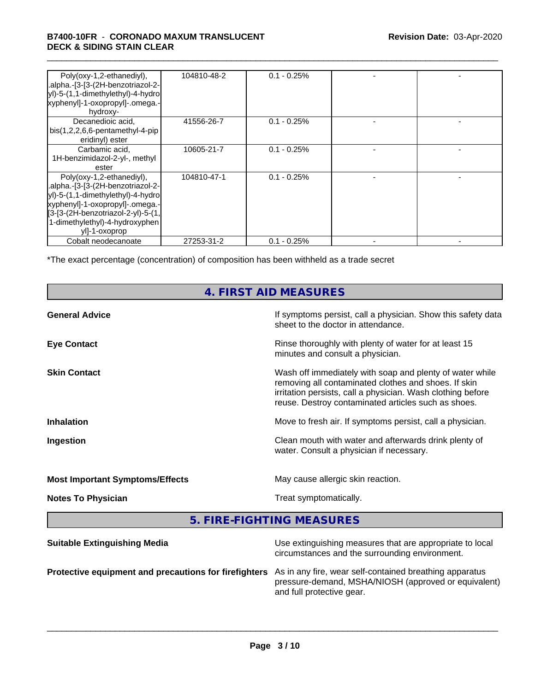#### \_\_\_\_\_\_\_\_\_\_\_\_\_\_\_\_\_\_\_\_\_\_\_\_\_\_\_\_\_\_\_\_\_\_\_\_\_\_\_\_\_\_\_\_\_\_\_\_\_\_\_\_\_\_\_\_\_\_\_\_\_\_\_\_\_\_\_\_\_\_\_\_\_\_\_\_\_\_\_\_\_\_\_\_\_\_\_\_\_\_\_\_\_ **B7400-10FR** - **CORONADO MAXUM TRANSLUCENT DECK & SIDING STAIN CLEAR**

| Poly(oxy-1,2-ethanediyl),<br>.alpha.-[3-[3-(2H-benzotriazol-2-<br>yl)-5-(1,1-dimethylethyl)-4-hydro<br>xyphenyl]-1-oxopropyl]-.omega.-<br>hydroxy-                                                                              | 104810-48-2 | $0.1 - 0.25\%$ |  |
|---------------------------------------------------------------------------------------------------------------------------------------------------------------------------------------------------------------------------------|-------------|----------------|--|
| Decanedioic acid,<br>$bis(1,2,2,6,6-pentamentlyl-4-pip)$<br>eridinyl) ester                                                                                                                                                     | 41556-26-7  | $0.1 - 0.25\%$ |  |
| Carbamic acid,<br>1H-benzimidazol-2-yl-, methyl<br>ester                                                                                                                                                                        | 10605-21-7  | $0.1 - 0.25%$  |  |
| Poly(oxy-1,2-ethanediyl),<br>.alpha.-[3-[3-(2H-benzotriazol-2-<br>yl)-5-(1,1-dimethylethyl)-4-hydro<br>xyphenyl]-1-oxopropyl]-.omega.-<br>[3-[3-(2H-benzotriazol-2-yl)-5-(1,<br>1-dimethylethyl)-4-hydroxyphen<br>yll-1-oxoprop | 104810-47-1 | $0.1 - 0.25%$  |  |
| Cobalt neodecanoate                                                                                                                                                                                                             | 27253-31-2  | $0.1 - 0.25%$  |  |

\*The exact percentage (concentration) of composition has been withheld as a trade secret

# **4. FIRST AID MEASURES**

| <b>General Advice</b>                  | If symptoms persist, call a physician. Show this safety data<br>sheet to the doctor in attendance.                                                                                                                                     |
|----------------------------------------|----------------------------------------------------------------------------------------------------------------------------------------------------------------------------------------------------------------------------------------|
| <b>Eye Contact</b>                     | Rinse thoroughly with plenty of water for at least 15<br>minutes and consult a physician.                                                                                                                                              |
| <b>Skin Contact</b>                    | Wash off immediately with soap and plenty of water while<br>removing all contaminated clothes and shoes. If skin<br>irritation persists, call a physician. Wash clothing before<br>reuse. Destroy contaminated articles such as shoes. |
| <b>Inhalation</b>                      | Move to fresh air. If symptoms persist, call a physician.                                                                                                                                                                              |
| Ingestion                              | Clean mouth with water and afterwards drink plenty of<br>water. Consult a physician if necessary.                                                                                                                                      |
| <b>Most Important Symptoms/Effects</b> | May cause allergic skin reaction.                                                                                                                                                                                                      |
| <b>Notes To Physician</b>              | Treat symptomatically.                                                                                                                                                                                                                 |
|                                        |                                                                                                                                                                                                                                        |

**5. FIRE-FIGHTING MEASURES**

| <b>Suitable Extinguishing Media</b>                                                                           | Use extinguishing measures that are appropriate to local<br>circumstances and the surrounding environment. |
|---------------------------------------------------------------------------------------------------------------|------------------------------------------------------------------------------------------------------------|
| Protective equipment and precautions for firefighters As in any fire, wear self-contained breathing apparatus | pressure-demand, MSHA/NIOSH (approved or equivalent)<br>and full protective gear.                          |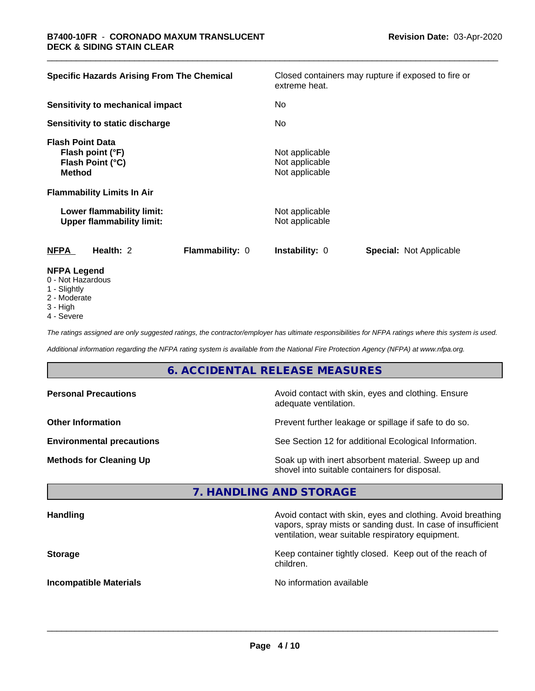| <b>Specific Hazards Arising From The Chemical</b>                                | extreme heat.                                      | Closed containers may rupture if exposed to fire or |  |  |
|----------------------------------------------------------------------------------|----------------------------------------------------|-----------------------------------------------------|--|--|
| <b>Sensitivity to mechanical impact</b>                                          | No                                                 |                                                     |  |  |
| Sensitivity to static discharge                                                  | No                                                 |                                                     |  |  |
| <b>Flash Point Data</b><br>Flash point (°F)<br>Flash Point (°C)<br><b>Method</b> | Not applicable<br>Not applicable<br>Not applicable |                                                     |  |  |
| <b>Flammability Limits In Air</b>                                                |                                                    |                                                     |  |  |
| Lower flammability limit:<br><b>Upper flammability limit:</b>                    | Not applicable<br>Not applicable                   |                                                     |  |  |
| <b>NFPA</b><br>Health: 2                                                         | <b>Flammability: 0</b><br><b>Instability: 0</b>    | <b>Special: Not Applicable</b>                      |  |  |
| <b>NFPA Legend</b><br>0 - Not Hazardous                                          |                                                    |                                                     |  |  |

- 
- 1 Slightly
- 2 Moderate
- 3 High
- 4 Severe

*The ratings assigned are only suggested ratings, the contractor/employer has ultimate responsibilities for NFPA ratings where this system is used.*

*Additional information regarding the NFPA rating system is available from the National Fire Protection Agency (NFPA) at www.nfpa.org.*

# **6. ACCIDENTAL RELEASE MEASURES**

| <b>Personal Precautions</b>      | Avoid contact with skin, eyes and clothing. Ensure<br>adequate ventilation.                          |  |
|----------------------------------|------------------------------------------------------------------------------------------------------|--|
| <b>Other Information</b>         | Prevent further leakage or spillage if safe to do so.                                                |  |
| <b>Environmental precautions</b> | See Section 12 for additional Ecological Information.                                                |  |
| <b>Methods for Cleaning Up</b>   | Soak up with inert absorbent material. Sweep up and<br>shovel into suitable containers for disposal. |  |

#### **7. HANDLING AND STORAGE**

| <b>Handling</b>               | Avoid contact with skin, eyes and clothing. Avoid breathing<br>vapors, spray mists or sanding dust. In case of insufficient<br>ventilation, wear suitable respiratory equipment. |
|-------------------------------|----------------------------------------------------------------------------------------------------------------------------------------------------------------------------------|
| <b>Storage</b>                | Keep container tightly closed. Keep out of the reach of<br>children.                                                                                                             |
| <b>Incompatible Materials</b> | No information available                                                                                                                                                         |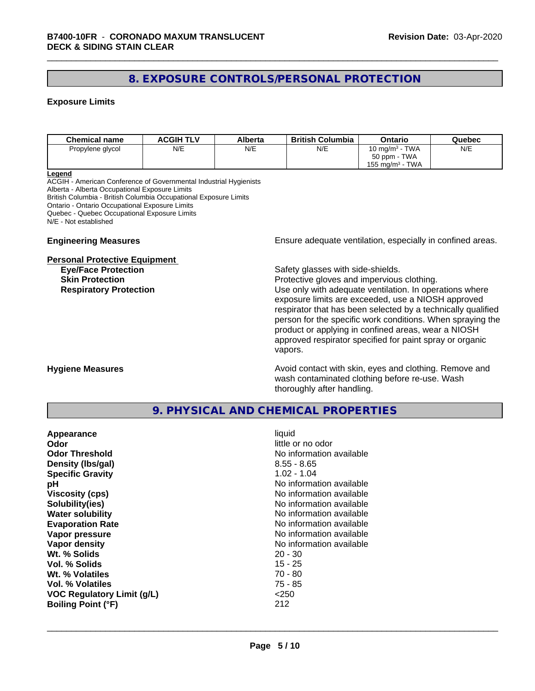## **8. EXPOSURE CONTROLS/PERSONAL PROTECTION**

#### **Exposure Limits**

| <b>Chemical name</b> | <b>ACGIH TLV</b> | Alberta | <b>British Columbia</b> | Ontario                        | Quebec |
|----------------------|------------------|---------|-------------------------|--------------------------------|--------|
| Propylene glycol     | N/E              | N/E     | N/E                     | 10 mg/m $3$ - TWA              | N/E    |
|                      |                  |         |                         | 50 ppm - TWA                   |        |
|                      |                  |         |                         | TWA<br>155 mg/m <sup>3</sup> - |        |

#### **Legend**

ACGIH - American Conference of Governmental Industrial Hygienists Alberta - Alberta Occupational Exposure Limits British Columbia - British Columbia Occupational Exposure Limits Ontario - Ontario Occupational Exposure Limits Quebec - Quebec Occupational Exposure Limits N/E - Not established

#### **Personal Protective Equipment**

**Engineering Measures Ensure** Ensure adequate ventilation, especially in confined areas.

**Eye/Face Protection Safety glasses with side-shields.** 

**Skin Protection Protection Protective gloves and impervious clothing. Respiratory Protection Exercise 2018** Use only with adequate ventilation. In operations where exposure limits are exceeded, use a NIOSH approved respirator that has been selected by a technically qualified person for the specific work conditions. When spraying the product or applying in confined areas, wear a NIOSH approved respirator specified for paint spray or organic vapors.

**Hygiene Measures Avoid contact with skin, eyes and clothing. Remove and Avoid contact with skin, eyes and clothing. Remove and Avoid contact with skin, eyes and clothing. Remove and** wash contaminated clothing before re-use. Wash thoroughly after handling.

#### **9. PHYSICAL AND CHEMICAL PROPERTIES**

| Appearance                        | liquid                   |
|-----------------------------------|--------------------------|
| Odor                              | little or no odor        |
| <b>Odor Threshold</b>             | No information available |
| Density (Ibs/gal)                 | $8.55 - 8.65$            |
| <b>Specific Gravity</b>           | $1.02 - 1.04$            |
| рH                                | No information available |
| <b>Viscosity (cps)</b>            | No information available |
| Solubility(ies)                   | No information available |
| <b>Water solubility</b>           | No information available |
| <b>Evaporation Rate</b>           | No information available |
| Vapor pressure                    | No information available |
| Vapor density                     | No information available |
| Wt. % Solids                      | $20 - 30$                |
| Vol. % Solids                     | 15 - 25                  |
| Wt. % Volatiles                   | $70 - 80$                |
| Vol. % Volatiles                  | $75 - 85$                |
| <b>VOC Regulatory Limit (g/L)</b> | $<$ 250                  |
| <b>Boiling Point (°F)</b>         | 212                      |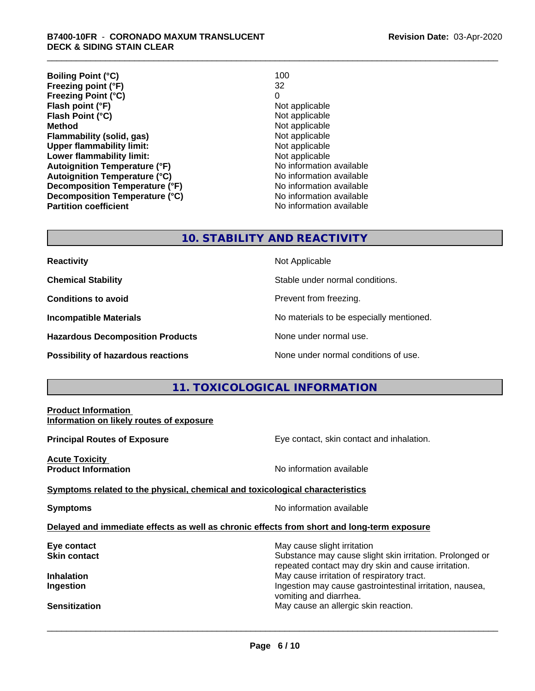**Boiling Point (°C)** 100<br> **Preezing point (°F)** 100<br>
22 **Freezing point (°F) Freezing Point (°C)** 0 **Flash point (°F)**<br> **Flash Point (°C)**<br> **Flash Point (°C)**<br> **C Flash Point (°C) Method** Not applicable **Flammability (solid, gas)**<br> **Commability limit:**<br>
Upper flammability limit:<br>
Not applicable **Upper flammability limit:**<br> **Lower flammability limit:** Not applicable Not applicable **Lower flammability limit: Autoignition Temperature (°F)** No information available **Autoignition Temperature (°C)** No information available **Decomposition Temperature (°F)** No information available **Decomposition Temperature (°C)**<br> **Partition coefficient**<br> **Partition coefficient**<br> **No** information available **Revision Date:** 03-Apr-2020

**No information available** 

#### **10. STABILITY AND REACTIVITY**

**Hazardous Decomposition Products** None under normal use.

**Reactivity** Not Applicable

**Chemical Stability Stable under normal conditions.** 

**Conditions to avoid Prevent from freezing.** 

**Incompatible Materials No materials** No materials to be especially mentioned.

**Possibility of hazardous reactions** None under normal conditions of use.

## **11. TOXICOLOGICAL INFORMATION**

# **Product Information Information on likely routes of exposure Principal Routes of Exposure Exposure** Eye contact, skin contact and inhalation. **Acute Toxicity Product Information Information No information available Symptoms related to the physical,chemical and toxicological characteristics Symptoms** No information available **Delayed and immediate effects as well as chronic effects from short and long-term exposure Eye contact Exercise Solution** May cause slight irritation **Skin contact** Substance may cause slight skin irritation. Prolonged or repeated contact may dry skin and cause irritation. **Inhalation** May cause irritation of respiratory tract. **Ingestion Ingestion Ingestion Ingestion Ingestion Ingestion Ingestion Ingestion Ingestion Ingestion** vomiting and diarrhea. **Sensitization** May cause an allergic skin reaction.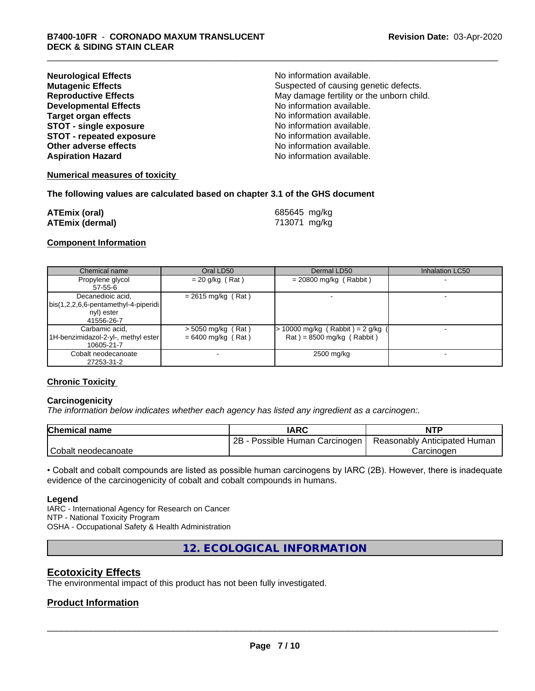| <b>Neurological Effects</b>     | No information available.                 |
|---------------------------------|-------------------------------------------|
| <b>Mutagenic Effects</b>        | Suspected of causing genetic defects.     |
| <b>Reproductive Effects</b>     | May damage fertility or the unborn child. |
| <b>Developmental Effects</b>    | No information available.                 |
| <b>Target organ effects</b>     | No information available.                 |
| <b>STOT - single exposure</b>   | No information available.                 |
| <b>STOT - repeated exposure</b> | No information available.                 |
| Other adverse effects           | No information available.                 |
| <b>Aspiration Hazard</b>        | No information available.                 |

#### **Numerical measures of toxicity**

#### **The following values are calculated based on chapter 3.1 of the GHS document**

| <b>ATEmix (oral)</b>   | 685645 mg/kg |
|------------------------|--------------|
| <b>ATEmix (dermal)</b> | 713071 mg/kg |

#### **Component Information**

| Chemical name                                                                           | Oral LD50                                    | Dermal LD50                                                        | Inhalation LC50 |
|-----------------------------------------------------------------------------------------|----------------------------------------------|--------------------------------------------------------------------|-----------------|
| Propylene glycol<br>57-55-6                                                             | $= 20$ g/kg (Rat)                            | $= 20800$ mg/kg (Rabbit)                                           |                 |
| Decanedioic acid,<br>  bis(1,2,2,6,6-pentamethyl-4-piperidi<br>nyl) ester<br>41556-26-7 | $= 2615$ mg/kg (Rat)                         |                                                                    |                 |
| Carbamic acid,<br>1H-benzimidazol-2-yl-, methyl ester  <br>10605-21-7                   | $>$ 5050 mg/kg (Rat)<br>$= 6400$ mg/kg (Rat) | $> 10000$ mg/kg (Rabbit) = 2 g/kg (<br>$Rat$ = 8500 mg/kg (Rabbit) |                 |
| Cobalt neodecanoate<br>27253-31-2                                                       |                                              | 2500 mg/kg                                                         |                 |

#### **Chronic Toxicity**

#### **Carcinogenicity**

*The information below indicateswhether each agency has listed any ingredient as a carcinogen:.*

| <b>Chemical name</b>     | IARC                            | <b>NTP</b>                   |
|--------------------------|---------------------------------|------------------------------|
|                          | Possible Human Carcinogen<br>2Β | Reasonably Anticipated Human |
| Cobalt<br>* neodecanoate |                                 | شarcinoαer                   |

• Cobalt and cobalt compounds are listed as possible human carcinogens by IARC (2B). However, there is inadequate evidence of the carcinogenicity of cobalt and cobalt compounds in humans.

#### **Legend**

IARC - International Agency for Research on Cancer NTP - National Toxicity Program OSHA - Occupational Safety & Health Administration

**12. ECOLOGICAL INFORMATION**

### **Ecotoxicity Effects**

The environmental impact of this product has not been fully investigated.

#### **Product Information**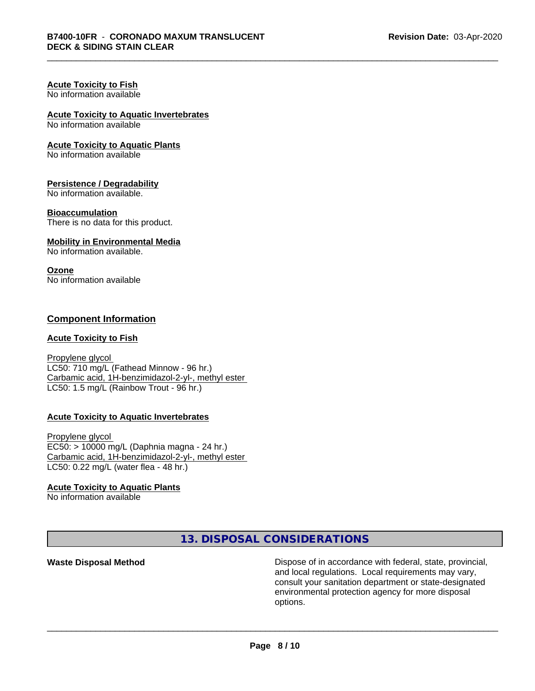#### **Acute Toxicity to Fish** No information available

# **Acute Toxicity to Aquatic Invertebrates**

No information available

#### **Acute Toxicity to Aquatic Plants**

No information available

#### **Persistence / Degradability**

No information available.

#### **Bioaccumulation**

There is no data for this product.

#### **Mobility in Environmental Media**

No information available.

#### **Ozone**

No information available

#### **Component Information**

#### **Acute Toxicity to Fish**

Propylene glycol LC50: 710 mg/L (Fathead Minnow - 96 hr.) Carbamic acid, 1H-benzimidazol-2-yl-, methyl ester LC50: 1.5 mg/L (Rainbow Trout - 96 hr.)

#### **Acute Toxicity to Aquatic Invertebrates**

Propylene glycol EC50: > 10000 mg/L (Daphnia magna - 24 hr.) Carbamic acid, 1H-benzimidazol-2-yl-, methyl ester LC50: 0.22 mg/L (water flea - 48 hr.)

#### **Acute Toxicity to Aquatic Plants**

No information available

**13. DISPOSAL CONSIDERATIONS**

**Waste Disposal Method Dispose of in accordance with federal, state, provincial,** and local regulations. Local requirements may vary, consult your sanitation department or state-designated environmental protection agency for more disposal options.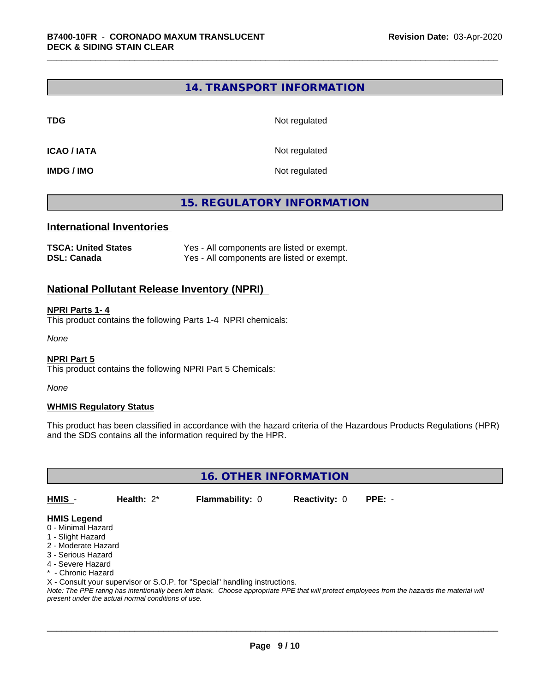#### **14. TRANSPORT INFORMATION**

**TDG** Not regulated

**ICAO / IATA** Not regulated

**IMDG / IMO** Not regulated

## **15. REGULATORY INFORMATION**

#### **International Inventories**

| <b>TSCA: United States</b> | Yes - All components are listed or exempt. |
|----------------------------|--------------------------------------------|
| DSL: Canada                | Yes - All components are listed or exempt. |

#### **National Pollutant Release Inventory (NPRI)**

#### **NPRI Parts 1- 4**

This product contains the following Parts 1-4 NPRI chemicals:

*None*

#### **NPRI Part 5**

This product contains the following NPRI Part 5 Chemicals:

*None*

#### **WHMIS Regulatory Status**

This product has been classified in accordance with the hazard criteria of the Hazardous Products Regulations (HPR) and the SDS contains all the information required by the HPR.

**16. OTHER INFORMATION**

**HMIS** - **Health:** 2\* **Flammability:** 0 **Reactivity:** 0 **PPE:** -

#### **HMIS Legend**

- 0 Minimal Hazard
- 1 Slight Hazard
- 2 Moderate Hazard
- 3 Serious Hazard
- 4 Severe Hazard
- \* Chronic Hazard

X - Consult your supervisor or S.O.P. for "Special" handling instructions.

*Note: The PPE rating has intentionally been left blank. Choose appropriate PPE that will protect employees from the hazards the material will present under the actual normal conditions of use.*